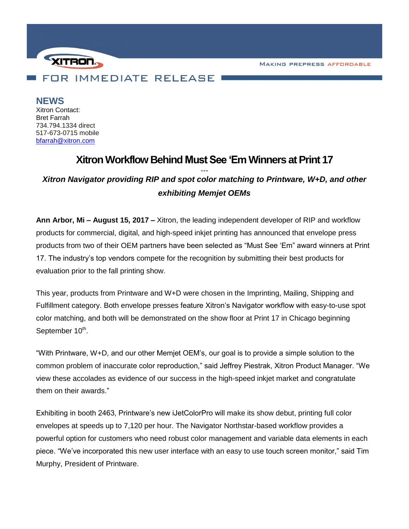**MAKING PREPRESS AFFORDABLE** 



**NEWS** Xitron Contact: Bret Farrah 734.794.1334 direct

517-673-0715 mobile [bfarrah@xitron.com](mailto:bfarrah@xitron.com)

## **Xitron Workflow Behind Must See 'EmWinners at Print 17**

*--- Xitron Navigator providing RIP and spot color matching to Printware, W+D, and other exhibiting Memjet OEMs*

**Ann Arbor, Mi – August 15, 2017 –** Xitron, the leading independent developer of RIP and workflow products for commercial, digital, and high-speed inkjet printing has announced that envelope press products from two of their OEM partners have been selected as "Must See 'Em" award winners at Print 17. The industry's top vendors compete for the recognition by submitting their best products for evaluation prior to the fall printing show.

This year, products from Printware and W+D were chosen in the Imprinting, Mailing, Shipping and Fulfillment category. Both envelope presses feature Xitron's Navigator workflow with easy-to-use spot color matching, and both will be demonstrated on the show floor at Print 17 in Chicago beginning September 10<sup>th</sup>.

"With Printware, W+D, and our other Memjet OEM's, our goal is to provide a simple solution to the common problem of inaccurate color reproduction," said Jeffrey Piestrak, Xitron Product Manager. "We view these accolades as evidence of our success in the high-speed inkjet market and congratulate them on their awards."

Exhibiting in booth 2463, Printware's new iJetColorPro will make its show debut, printing full color envelopes at speeds up to 7,120 per hour. The Navigator Northstar-based workflow provides a powerful option for customers who need robust color management and variable data elements in each piece. "We've incorporated this new user interface with an easy to use touch screen monitor," said Tim Murphy, President of Printware.